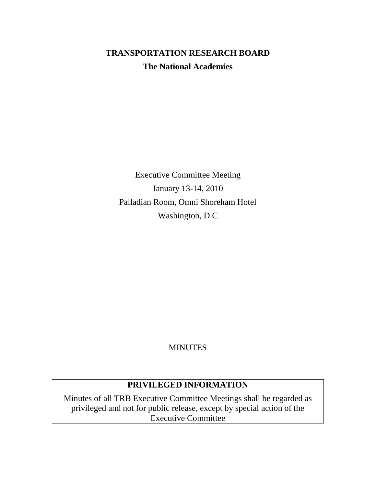# **TRANSPORTATION RESEARCH BOARD The National Academies**

Executive Committee Meeting January 13-14, 2010 Palladian Room, Omni Shoreham Hotel Washington, D.C

MINUTES

## **PRIVILEGED INFORMATION**

Minutes of all TRB Executive Committee Meetings shall be regarded as privileged and not for public release, except by special action of the Executive Committee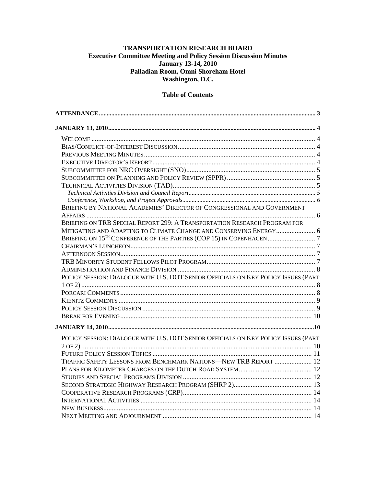## TRANSPORTATION RESEARCH BOARD Executive Committee Meeting and Policy Session Discussion Minutes<br>January 13-14, 2010 Palladian Room, Omni Shoreham Hotel Washington, D.C.

#### **Table of Contents**

| BRIEFING BY NATIONAL ACADEMIES' DIRECTOR OF CONGRESSIONAL AND GOVERNMENT           |  |
|------------------------------------------------------------------------------------|--|
|                                                                                    |  |
| BRIEFING ON TRB SPECIAL REPORT 299: A TRANSPORTATION RESEARCH PROGRAM FOR          |  |
| MITIGATING AND ADAPTING TO CLIMATE CHANGE AND CONSERVING ENERGY 6                  |  |
|                                                                                    |  |
|                                                                                    |  |
|                                                                                    |  |
|                                                                                    |  |
|                                                                                    |  |
| POLICY SESSION: DIALOGUE WITH U.S. DOT SENIOR OFFICIALS ON KEY POLICY ISSUES (PART |  |
|                                                                                    |  |
|                                                                                    |  |
|                                                                                    |  |
|                                                                                    |  |
|                                                                                    |  |
|                                                                                    |  |
| POLICY SESSION: DIALOGUE WITH U.S. DOT SENIOR OFFICIALS ON KEY POLICY ISSUES (PART |  |
|                                                                                    |  |
|                                                                                    |  |
| TRAFFIC SAFETY LESSONS FROM BENCHMARK NATIONS—NEW TRB REPORT  12                   |  |
|                                                                                    |  |
|                                                                                    |  |
|                                                                                    |  |
|                                                                                    |  |
|                                                                                    |  |
|                                                                                    |  |
|                                                                                    |  |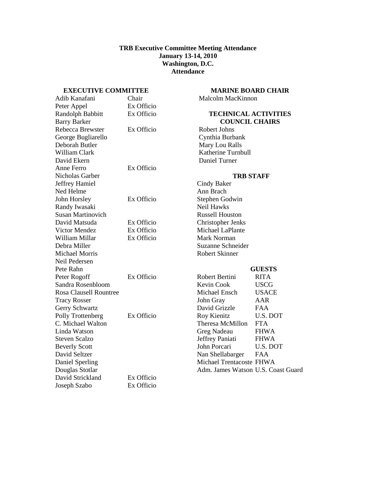#### **TRB Executive Committee Meeting Attendance January 13-14, 2010 Washington, D.C. Attendance**

#### <span id="page-2-0"></span>**EXECUTIVE COMMITTEE**

| Chair      |
|------------|
| Ex Officio |
| Ex Officio |
|            |
| Ex Officio |
|            |
|            |
|            |
|            |
| Ex Officio |
|            |
|            |
|            |
| Ex Officio |
|            |
|            |
| Ex Officio |
| Ex Officio |
| Ex Officio |
|            |
|            |
|            |
|            |
| Ex Officio |
|            |
|            |
|            |
|            |
| Ex Officio |
|            |
|            |
|            |
|            |
|            |
|            |
|            |
| Ex Officio |
| Ex Officio |
|            |

#### **MARINE BOARD CHAIR**

Malcolm MacKinnon

#### **TECHNICAL ACTIVITIES COUNCIL CHAIRS**

Robert Johns Cynthia Burbank Mary Lou Ralls Katherine Turnbull Daniel Turner

#### **TRB STAFF**

Cindy Baker Ann Brach Stephen Godwin Neil Hawks Russell Houston Christopher Jenks Michael LaPlante Mark Norman Suzanne Schneider Robert Skinner

## **GUESTS**

|                                    | ,            |
|------------------------------------|--------------|
| Robert Bertini                     | <b>RITA</b>  |
| Kevin Cook                         | USCG         |
| Michael Ensch                      | <b>USACE</b> |
| John Gray                          | AAR          |
| David Grizzle                      | FAA          |
| Roy Kienitz                        | U.S. DOT     |
| Theresa McMillon                   | <b>FTA</b>   |
| Greg Nadeau                        | <b>FHWA</b>  |
| Jeffrey Paniati                    | <b>FHWA</b>  |
| John Porcari                       | U.S. DOT     |
| Nan Shellabarger                   | FAA          |
| Michael Trentacoste FHWA           |              |
| Adm. James Watson U.S. Coast Guard |              |
|                                    |              |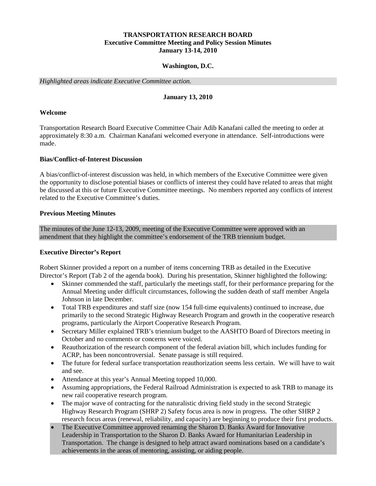#### **TRANSPORTATION RESEARCH BOARD Executive Committee Meeting and Policy Session Minutes January 13-14, 2010**

#### **Washington, D.C.**

<span id="page-3-0"></span>*Highlighted areas indicate Executive Committee action.*

#### **January 13, 2010**

#### <span id="page-3-1"></span>**Welcome**

Transportation Research Board Executive Committee Chair Adib Kanafani called the meeting to order at approximately 8:30 a.m. Chairman Kanafani welcomed everyone in attendance. Self-introductions were made.

#### <span id="page-3-2"></span>**Bias/Conflict-of-Interest Discussion**

A bias/conflict-of-interest discussion was held, in which members of the Executive Committee were given the opportunity to disclose potential biases or conflicts of interest they could have related to areas that might be discussed at this or future Executive Committee meetings. No members reported any conflicts of interest related to the Executive Committee's duties.

#### <span id="page-3-3"></span>**Previous Meeting Minutes**

The minutes of the June 12-13, 2009, meeting of the Executive Committee were approved with an amendment that they highlight the committee's endorsement of the TRB triennium budget.

#### <span id="page-3-4"></span>**Executive Director's Report**

Robert Skinner provided a report on a number of items concerning TRB as detailed in the Executive Director's Report (Tab 2 of the agenda book). During his presentation, Skinner highlighted the following:

- Skinner commended the staff, particularly the meetings staff, for their performance preparing for the Annual Meeting under difficult circumstances, following the sudden death of staff member Angela Johnson in late December.
- Total TRB expenditures and staff size (now 154 full-time equivalents) continued to increase, due primarily to the second Strategic Highway Research Program and growth in the cooperative research programs, particularly the Airport Cooperative Research Program.
- Secretary Miller explained TRB's triennium budget to the AASHTO Board of Directors meeting in October and no comments or concerns were voiced.
- Reauthorization of the research component of the federal aviation bill, which includes funding for ACRP, has been noncontroversial. Senate passage is still required.
- The future for federal surface transportation reauthorization seems less certain. We will have to wait and see.
- Attendance at this year's Annual Meeting topped 10,000.
- Assuming appropriations, the Federal Railroad Administration is expected to ask TRB to manage its new rail cooperative research program.
- The major wave of contracting for the naturalistic driving field study in the second Strategic Highway Research Program (SHRP 2) Safety focus area is now in progress. The other SHRP 2 research focus areas (renewal, reliability, and capacity) are beginning to produce their first products.
- The Executive Committee approved renaming the Sharon D. Banks Award for Innovative Leadership in Transportation to the Sharon D. Banks Award for Humanitarian Leadership in Transportation. The change is designed to help attract award nominations based on a candidate's achievements in the areas of mentoring, assisting, or aiding people.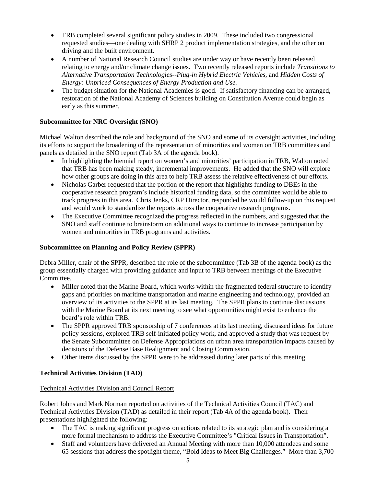- TRB completed several significant policy studies in 2009. These included two congressional requested studies—one dealing with SHRP 2 product implementation strategies, and the other on driving and the built environment.
- A number of National Research Council studies are under way or have recently been released relating to energy and/or climate change issues. Two recently released reports include *Transitions to Alternative Transportation Technologies--Plug-in Hybrid Electric Vehicles,* and *Hidden Costs of Energy: Unpriced Consequences of Energy Production and Use.*
- The budget situation for the National Academies is good. If satisfactory financing can be arranged, restoration of the National Academy of Sciences building on Constitution Avenue could begin as early as this summer.

## <span id="page-4-0"></span>**Subcommittee for NRC Oversight (SNO)**

Michael Walton described the role and background of the SNO and some of its oversight activities, including its efforts to support the broadening of the representation of minorities and women on TRB committees and panels as detailed in the SNO report (Tab 3A of the agenda book).

- In highlighting the biennial report on women's and minorities' participation in TRB, Walton noted that TRB has been making steady, incremental improvements. He added that the SNO will explore how other groups are doing in this area to help TRB assess the relative effectiveness of our efforts.
- Nicholas Garber requested that the portion of the report that highlights funding to DBEs in the cooperative research program's include historical funding data, so the committee would be able to track progress in this area. Chris Jenks, CRP Director, responded he would follow-up on this request and would work to standardize the reports across the cooperative research programs.
- The Executive Committee recognized the progress reflected in the numbers, and suggested that the SNO and staff continue to brainstorm on additional ways to continue to increase participation by women and minorities in TRB programs and activities.

## <span id="page-4-1"></span>**Subcommittee on Planning and Policy Review (SPPR)**

Debra Miller, chair of the SPPR, described the role of the subcommittee (Tab 3B of the agenda book) as the group essentially charged with providing guidance and input to TRB between meetings of the Executive Committee.

- Miller noted that the Marine Board, which works within the fragmented federal structure to identify gaps and priorities on maritime transportation and marine engineering and technology, provided an overview of its activities to the SPPR at its last meeting. The SPPR plans to continue discussions with the Marine Board at its next meeting to see what opportunities might exist to enhance the board's role within TRB.
- The SPPR approved TRB sponsorship of 7 conferences at its last meeting, discussed ideas for future policy sessions, explored TRB self-initiated policy work, and approved a study that was request by the Senate Subcommittee on Defense Appropriations on urban area transportation impacts caused by decisions of the Defense Base Realignment and Closing Commission.
- Other items discussed by the SPPR were to be addressed during later parts of this meeting.

## <span id="page-4-2"></span>**Technical Activities Division (TAD)**

## <span id="page-4-3"></span>Technical Activities Division and Council Report

Robert Johns and Mark Norman reported on activities of the Technical Activities Council (TAC) and Technical Activities Division (TAD) as detailed in their report (Tab 4A of the agenda book). Their presentations highlighted the following:

- The TAC is making significant progress on actions related to its strategic plan and is considering a more formal mechanism to address the Executive Committee's "Critical Issues in Transportation".
- Staff and volunteers have delivered an Annual Meeting with more than 10,000 attendees and some 65 sessions that address the spotlight theme, "Bold Ideas to Meet Big Challenges." More than 3,700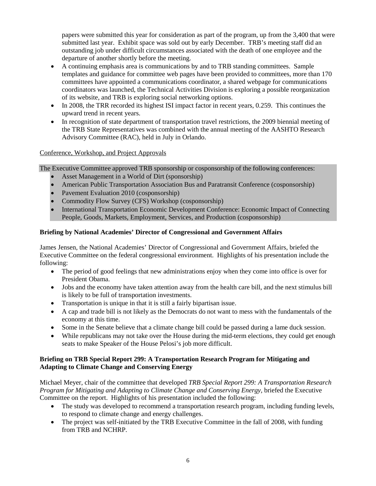papers were submitted this year for consideration as part of the program, up from the 3,400 that were submitted last year. Exhibit space was sold out by early December. TRB's meeting staff did an outstanding job under difficult circumstances associated with the death of one employee and the departure of another shortly before the meeting.

- A continuing emphasis area is communications by and to TRB standing committees. Sample templates and guidance for committee web pages have been provided to committees, more than 170 committees have appointed a communications coordinator, a shared webpage for communications coordinators was launched, the Technical Activities Division is exploring a possible reorganization of its website, and TRB is exploring social networking options.
- In 2008, the TRR recorded its highest ISI impact factor in recent years, 0.259. This continues the upward trend in recent years.
- In recognition of state department of transportation travel restrictions, the 2009 biennial meeting of the TRB State Representatives was combined with the annual meeting of the AASHTO Research Advisory Committee (RAC), held in July in Orlando.

## <span id="page-5-0"></span>Conference, Workshop, and Project Approvals

The Executive Committee approved TRB sponsorship or cosponsorship of the following conferences:

- Asset Management in a World of Dirt (sponsorship)
- American Public Transportation Association Bus and Paratransit Conference (cosponsorship)
- Pavement Evaluation 2010 (cosponsorship)
- Commodity Flow Survey (CFS) Workshop (cosponsorship)
- International Transportation Economic Development Conference: Economic Impact of Connecting People, Goods, Markets, Employment, Services, and Production (cosponsorship)

## <span id="page-5-1"></span>**Briefing by National Academies' Director of Congressional and Government Affairs**

James Jensen, the National Academies' Director of Congressional and Government Affairs, briefed the Executive Committee on the federal congressional environment. Highlights of his presentation include the following:

- The period of good feelings that new administrations enjoy when they come into office is over for President Obama.
- Jobs and the economy have taken attention away from the health care bill, and the next stimulus bill is likely to be full of transportation investments.
- Transportation is unique in that it is still a fairly bipartisan issue.
- A cap and trade bill is not likely as the Democrats do not want to mess with the fundamentals of the economy at this time.
- Some in the Senate believe that a climate change bill could be passed during a lame duck session.
- While republicans may not take over the House during the mid-term elections, they could get enough seats to make Speaker of the House Pelosi's job more difficult.

## <span id="page-5-2"></span>**Briefing on TRB Special Report 299: A Transportation Research Program for Mitigating and Adapting to Climate Change and Conserving Energy**

Michael Meyer, chair of the committee that developed *TRB Special Report 299: A Transportation Research Program for Mitigating and Adapting to Climate Change and Conserving Energy,* briefed the Executive Committee on the report. Highlights of his presentation included the following:

- The study was developed to recommend a transportation research program, including funding levels, to respond to climate change and energy challenges.
- The project was self-initiated by the TRB Executive Committee in the fall of 2008, with funding from TRB and NCHRP.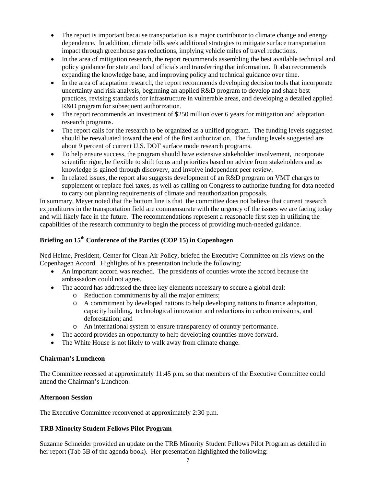- The report is important because transportation is a major contributor to climate change and energy dependence. In addition, climate bills seek additional strategies to mitigate surface transportation impact through greenhouse gas reductions, implying vehicle miles of travel reductions.
- In the area of mitigation research, the report recommends assembling the best available technical and policy guidance for state and local officials and transferring that information. It also recommends expanding the knowledge base, and improving policy and technical guidance over time.
- In the area of adaptation research, the report recommends developing decision tools that incorporate uncertainty and risk analysis, beginning an applied R&D program to develop and share best practices, revising standards for infrastructure in vulnerable areas, and developing a detailed applied R&D program for subsequent authorization.
- The report recommends an investment of \$250 million over 6 years for mitigation and adaptation research programs.
- The report calls for the research to be organized as a unified program. The funding levels suggested should be reevaluated toward the end of the first authorization. The funding levels suggested are about 9 percent of current U.S. DOT surface mode research programs.
- To help ensure success, the program should have extensive stakeholder involvement, incorporate scientific rigor, be flexible to shift focus and priorities based on advice from stakeholders and as knowledge is gained through discovery, and involve independent peer review.
- In related issues, the report also suggests development of an R&D program on VMT charges to supplement or replace fuel taxes, as well as calling on Congress to authorize funding for data needed to carry out planning requirements of climate and reauthorization proposals.

In summary, Meyer noted that the bottom line is that the committee does not believe that current research expenditures in the transportation field are commensurate with the urgency of the issues we are facing today and will likely face in the future. The recommendations represent a reasonable first step in utilizing the capabilities of the research community to begin the process of providing much-needed guidance.

## <span id="page-6-0"></span>**Briefing on 15th Conference of the Parties (COP 15) in Copenhagen**

Ned Helme, President, Center for Clean Air Policy, briefed the Executive Committee on his views on the Copenhagen Accord. Highlights of his presentation include the following:

- An important accord was reached. The presidents of counties wrote the accord because the ambassadors could not agree.
- The accord has addressed the three key elements necessary to secure a global deal:
	- o Reduction commitments by all the major emitters;
	- o A commitment by developed nations to help developing nations to finance adaptation, capacity building, technological innovation and reductions in carbon emissions, and deforestation; and
	- o An international system to ensure transparency of country performance.
- The accord provides an opportunity to help developing countries move forward.
- The White House is not likely to walk away from climate change.

## <span id="page-6-1"></span>**Chairman's Luncheon**

The Committee recessed at approximately 11:45 p.m. so that members of the Executive Committee could attend the Chairman's Luncheon.

## <span id="page-6-2"></span>**Afternoon Session**

The Executive Committee reconvened at approximately 2:30 p.m.

## <span id="page-6-3"></span>**TRB Minority Student Fellows Pilot Program**

Suzanne Schneider provided an update on the TRB Minority Student Fellows Pilot Program as detailed in her report (Tab 5B of the agenda book). Her presentation highlighted the following: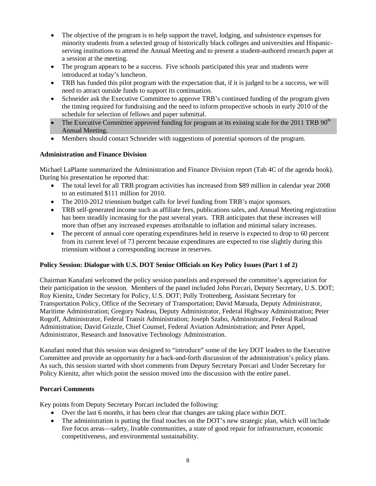- The objective of the program is to help support the travel, lodging, and subsistence expenses for minority students from a selected group of historically black colleges and universities and Hispanicserving institutions to attend the Annual Meeting and to present a student-authored research paper at a session at the meeting.
- The program appears to be a success. Five schools participated this year and students were introduced at today's luncheon.
- TRB has funded this pilot program with the expectation that, if it is judged to be a success, we will need to attract outside funds to support its continuation.
- Schneider ask the Executive Committee to approve TRB's continued funding of the program given the timing required for fundraising and the need to inform prospective schools in early 2010 of the schedule for selection of fellows and paper submittal.
- The Executive Committee approved funding for program at its existing scale for the 2011 TRB  $90<sup>th</sup>$ Annual Meeting.
- Members should contact Schneider with suggestions of potential sponsors of the program.

## <span id="page-7-0"></span>**Administration and Finance Division**

Michael LaPlante summarized the Administration and Finance Division report (Tab 4C of the agenda book). During his presentation he reported that:

- The total level for all TRB program activities has increased from \$89 million in calendar year 2008 to an estimated \$111 million for 2010.
- The 2010-2012 triennium budget calls for level funding from TRB's major sponsors.
- TRB self-generated income such as affiliate fees, publications sales, and Annual Meeting registration has been steadily increasing for the past several years. TRB anticipates that these increases will more than offset any increased expenses attributable to inflation and minimal salary increases.
- The percent of annual core operating expenditures held in reserve is expected to drop to 60 percent from its current level of 73 percent because expenditures are expected to rise slightly during this triennium without a corresponding increase in reserves.

## <span id="page-7-1"></span>**Policy Session: Dialogue with U.S. DOT Senior Officials on Key Policy Issues (Part 1 of 2)**

Chairman Kanafani welcomed the policy session panelists and expressed the committee's appreciation for their participation in the session. Members of the panel included John Porcari, Deputy Secretary, U.S. DOT; Roy Kienitz, Under Secretary for Policy, U.S. DOT; Polly Trottenberg, Assistant Secretary for Transportation Policy, Office of the Secretary of Transportation; David Matsuda, Deputy Administrator, Maritime Administration; Gregory Nadeau, Deputy Administrator, Federal Highway Administration; Peter Rogoff, Administrator, Federal Transit Administration; Joseph Szabo, Administrator, Federal Railroad Administration; David Grizzle, Chief Counsel, Federal Aviation Administration; and Peter Appel, Administrator, Research and Innovative Technology Administration.

Kanafani noted that this session was designed to "introduce" some of the key DOT leaders to the Executive Committee and provide an opportunity for a back-and-forth discussion of the administration's policy plans. As such, this session started with short comments from Deputy Secretary Porcari and Under Secretary for Policy Kienitz, after which point the session moved into the discussion with the entire panel.

#### <span id="page-7-2"></span>**Porcari Comments**

Key points from Deputy Secretary Porcari included the following:

- Over the last 6 months, it has been clear that changes are taking place within DOT.
- The administration is putting the final touches on the DOT's new strategic plan, which will include five focus areas—safety, livable communities, a state of good repair for infrastructure, economic competitiveness, and environmental sustainability.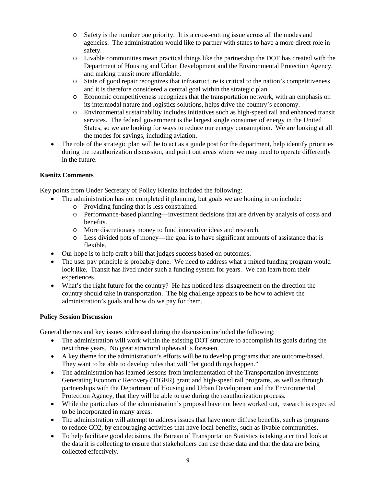- o Safety is the number one priority. It is a cross-cutting issue across all the modes and agencies. The administration would like to partner with states to have a more direct role in safety.
- o Livable communities mean practical things like the partnership the DOT has created with the Department of Housing and Urban Development and the Environmental Protection Agency, and making transit more affordable.
- o State of good repair recognizes that infrastructure is critical to the nation's competitiveness and it is therefore considered a central goal within the strategic plan.
- o Economic competitiveness recognizes that the transportation network, with an emphasis on its intermodal nature and logistics solutions, helps drive the country's economy.
- o Environmental sustainability includes initiatives such as high-speed rail and enhanced transit services. The federal government is the largest single consumer of energy in the United States, so we are looking for ways to reduce our energy consumption. We are looking at all the modes for savings, including aviation.
- The role of the strategic plan will be to act as a guide post for the department, help identify priorities during the reauthorization discussion, and point out areas where we may need to operate differently in the future.

## <span id="page-8-0"></span>**Kienitz Comments**

Key points from Under Secretary of Policy Kienitz included the following:

- The administration has not completed it planning, but goals we are honing in on include:
	- o Providing funding that is less constrained.
	- o Performance-based planning—investment decisions that are driven by analysis of costs and benefits.
	- o More discretionary money to fund innovative ideas and research.
	- o Less divided pots of money—the goal is to have significant amounts of assistance that is flexible.
- Our hope is to help craft a bill that judges success based on outcomes.
- The user pay principle is probably done. We need to address what a mixed funding program would look like. Transit has lived under such a funding system for years. We can learn from their experiences.
- What's the right future for the country? He has noticed less disagreement on the direction the country should take in transportation. The big challenge appears to be how to achieve the administration's goals and how do we pay for them.

#### <span id="page-8-1"></span>**Policy Session Discussion**

General themes and key issues addressed during the discussion included the following:

- The administration will work within the existing DOT structure to accomplish its goals during the next three years. No great structural upheaval is foreseen.
- A key theme for the administration's efforts will be to develop programs that are outcome-based. They want to be able to develop rules that will "let good things happen."
- The administration has learned lessons from implementation of the Transportation Investments Generating Economic Recovery (TIGER) grant and high-speed rail programs, as well as through partnerships with the Department of Housing and Urban Development and the Environmental Protection Agency, that they will be able to use during the reauthorization process.
- While the particulars of the administration's proposal have not been worked out, research is expected to be incorporated in many areas.
- The administration will attempt to address issues that have more diffuse benefits, such as programs to reduce CO2, by encouraging activities that have local benefits, such as livable communities.
- To help facilitate good decisions, the Bureau of Transportation Statistics is taking a critical look at the data it is collecting to ensure that stakeholders can use these data and that the data are being collected effectively.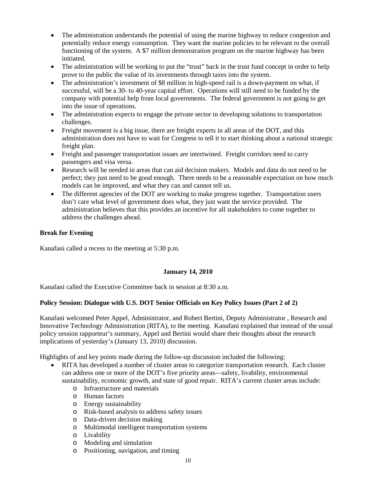- The administration understands the potential of using the marine highway to reduce congestion and potentially reduce energy consumption. They want the marine policies to be relevant to the overall functioning of the system. A \$7 million demonstration program on the marine highway has been initiated.
- The administration will be working to put the "trust" back in the trust fund concept in order to help prove to the public the value of its investments through taxes into the system.
- The administration's investment of \$8 million in high-speed rail is a down-payment on what, if successful, will be a 30- to 40-year capital effort. Operations will still need to be funded by the company with potential help from local governments. The federal government is not going to get into the issue of operations.
- The administration expects to engage the private sector in developing solutions to transportation challenges.
- Freight movement is a big issue, there are freight experts in all areas of the DOT, and this administration does not have to wait for Congress to tell it to start thinking about a national strategic freight plan.
- Freight and passenger transportation issues are intertwined. Freight corridors need to carry passengers and visa versa.
- Research will be needed in areas that can aid decision makers. Models and data do not need to be perfect; they just need to be good enough. There needs to be a reasonable expectation on how much models can be improved, and what they can and cannot tell us.
- The different agencies of the DOT are working to make progress together. Transportation users don't care what level of government does what, they just want the service provided. The administration believes that this provides an incentive for all stakeholders to come together to address the challenges ahead.

## <span id="page-9-0"></span>**Break for Evening**

Kanafani called a recess to the meeting at 5:30 p.m.

## **January 14, 2010**

<span id="page-9-1"></span>Kanafani called the Executive Committee back in session at 8:30 a.m.

## <span id="page-9-2"></span>**Policy Session: Dialogue with U.S. DOT Senior Officials on Key Policy Issues (Part 2 of 2)**

Kanafani welcomed Peter Appel, Administrator, and Robert Bertini, Deputy Administrator , Research and Innovative Technology Administration (RITA), to the meeting. Kanafani explained that instead of the usual policy session rapporteur's summary, Appel and Bertini would share their thoughts about the research implications of yesterday's (January 13, 2010) discussion.

Highlights of and key points made during the follow-up discussion included the following:

- RITA has developed a number of cluster areas to categorize transportation research. Each cluster can address one or more of the DOT's five priority areas—safety, livability, environmental sustainability, economic growth, and state of good repair. RITA's current cluster areas include:
	- o Infrastructure and materials
	- o Human factors
	- o Energy sustainability
	- o Risk-based analysis to address safety issues
	- o Data-driven decision making
	- o Multimodal intelligent transportation systems
	- o Livability
	- o Modeling and simulation
	- o Positioning, navigation, and timing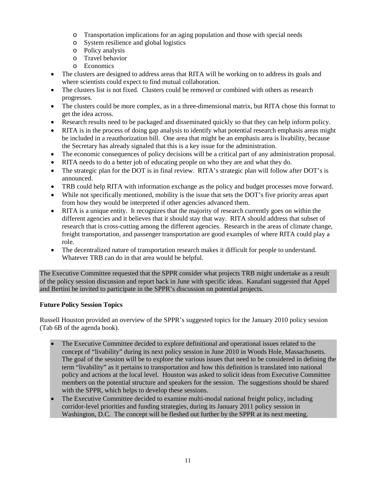- o Transportation implications for an aging population and those with special needs
- o System resilience and global logistics
- o Policy analysis
- o Travel behavior
- o Economics
- The clusters are designed to address areas that RITA will be working on to address its goals and where scientists could expect to find mutual collaboration.
- The clusters list is not fixed. Clusters could be removed or combined with others as research progresses.
- The clusters could be more complex, as in a three-dimensional matrix, but RITA chose this format to get the idea across.
- Research results need to be packaged and disseminated quickly so that they can help inform policy.
- RITA is in the process of doing gap analysis to identify what potential research emphasis areas might be included in a reauthorization bill. One area that might be an emphasis area is livability, because the Secretary has already signaled that this is a key issue for the administration.
- The economic consequences of policy decisions will be a critical part of any administration proposal.
- RITA needs to do a better job of educating people on who they are and what they do.
- The strategic plan for the DOT is in final review. RITA's strategic plan will follow after DOT's is announced.
- TRB could help RITA with information exchange as the policy and budget processes move forward.
- While not specifically mentioned, mobility is the issue that sets the DOT's five priority areas apart from how they would be interpreted if other agencies advanced them.
- RITA is a unique entity. It recognizes that the majority of research currently goes on within the different agencies and it believes that it should stay that way. RITA should address that subset of research that is cross-cutting among the different agencies. Research in the areas of climate change, freight transportation, and passenger transportation are good examples of where RITA could play a role.
- The decentralized nature of transportation research makes it difficult for people to understand. Whatever TRB can do in that area would be helpful.

The Executive Committee requested that the SPPR consider what projects TRB might undertake as a result of the policy session discussion and report back in June with specific ideas. Kanafani suggested that Appel and Bertini be invited to participate in the SPPR's discussion on potential projects.

## <span id="page-10-0"></span>**Future Policy Session Topics**

Russell Houston provided an overview of the SPPR's suggested topics for the January 2010 policy session (Tab 6B of the agenda book).

- The Executive Committee decided to explore definitional and operational issues related to the concept of "livability" during its next policy session in June 2010 in Woods Hole, Massachusetts. The goal of the session will be to explore the various issues that need to be considered in defining the term "livability" as it pertains to transportation and how this definition is translated into national policy and actions at the local level. Houston was asked to solicit ideas from Executive Committee members on the potential structure and speakers for the session. The suggestions should be shared with the SPPR, which helps to develop these sessions.
- The Executive Committee decided to examine multi-modal national freight policy, including corridor-level priorities and funding strategies, during its January 2011 policy session in Washington, D.C. The concept will be fleshed out further by the SPPR at its next meeting.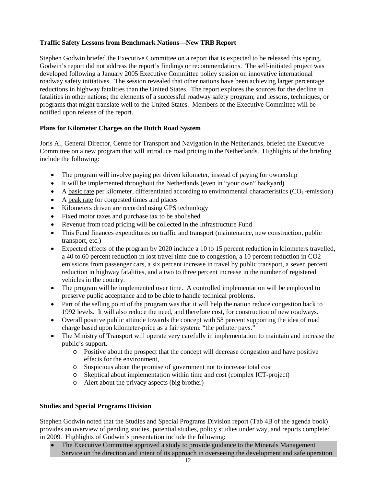## <span id="page-11-0"></span>**Traffic Safety Lessons from Benchmark Nations—New TRB Report**

Stephen Godwin briefed the Executive Committee on a report that is expected to be released this spring. Godwin's report did not address the report's findings or recommendations. The self-initiated project was developed following a January 2005 Executive Committee policy session on innovative international roadway safety initiatives. The session revealed that other nations have been achieving larger percentage reductions in highway fatalities than the United States. The report explores the sources for the decline in fatalities in other nations; the elements of a successful roadway safety program; and lessons, techniques, or programs that might translate well to the United States. Members of the Executive Committee will be notified upon release of the report.

## <span id="page-11-1"></span>**Plans for Kilometer Charges on the Dutch Road System**

Joris Al, General Director, Centre for Transport and Navigation in the Netherlands, briefed the Executive Committee on a new program that will introduce road pricing in the Netherlands. Highlights of the briefing include the following:

- The program will involve paying per driven kilometer, instead of paying for ownership
- It will be implemented throughout the Netherlands (even in "your own" backyard)
- A basic rate per kilometer, differentiated according to environmental characteristics (CO**2** -emission)
- A peak rate for congested times and places
- Kilometers driven are recorded using GPS technology
- Fixed motor taxes and purchase tax to be abolished
- Revenue from road pricing will be collected in the Infrastructure Fund
- This Fund finances expenditures on traffic and transport (maintenance, new construction, public transport, etc.)
- Expected effects of the program by 2020 include a 10 to 15 percent reduction in kilometers travelled, a 40 to 60 percent reduction in lost travel time due to congestion, a 10 percent reduction in CO2 emissions from passenger cars, a six percent increase in travel by public transport, a seven percent reduction in highway fatalities, and a two to three percent increase in the number of registered vehicles in the country.
- The program will be implemented over time. A controlled implementation will be employed to preserve public acceptance and to be able to handle technical problems.
- Part of the selling point of the program was that it will help the nation reduce congestion back to 1992 levels. It will also reduce the need, and therefore cost, for construction of new roadways.
- Overall positive public attitude towards the concept with 58 percent supporting the idea of road charge based upon kilometer-price as a fair system: "the polluter pays."
- The Ministry of Transport will operate very carefully in implementation to maintain and increase the public's support.
	- o Positive about the prospect that the concept will decrease congestion and have positive effects for the environment,
	- o Suspicious about the promise of government not to increase total cost
	- o Skeptical about implementation within time and cost (complex ICT-project)
	- o Alert about the privacy aspects (big brother)

## <span id="page-11-2"></span>**Studies and Special Programs Division**

Stephen Godwin noted that the Studies and Special Programs Division report (Tab 4B of the agenda book) provides an overview of pending studies, potential studies, policy studies under way, and reports completed in 2009. Highlights of Godwin's presentation include the following:

• The Executive Committee approved a study to provide guidance to the Minerals Management Service on the direction and intent of its approach in overseeing the development and safe operation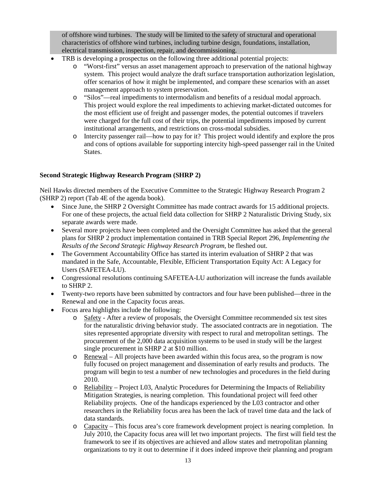of offshore wind turbines. The study will be limited to the safety of structural and operational characteristics of offshore wind turbines, including turbine design, foundations, installation, electrical transmission, inspection, repair, and decommissioning.

- TRB is developing a prospectus on the following three additional potential projects:
	- o "Worst-first" versus an asset management approach to preservation of the national highway system. This project would analyze the draft surface transportation authorization legislation, offer scenarios of how it might be implemented, and compare these scenarios with an asset management approach to system preservation.
	- o "Silos"—real impediments to intermodalism and benefits of a residual modal approach. This project would explore the real impediments to achieving market-dictated outcomes for the most efficient use of freight and passenger modes, the potential outcomes if travelers were charged for the full cost of their trips, the potential impediments imposed by current institutional arrangements, and restrictions on cross-modal subsidies.
	- o Intercity passenger rail—how to pay for it? This project would identify and explore the pros and cons of options available for supporting intercity high-speed passenger rail in the United States.

#### <span id="page-12-0"></span>**Second Strategic Highway Research Program (SHRP 2)**

Neil Hawks directed members of the Executive Committee to the Strategic Highway Research Program 2 (SHRP 2) report (Tab 4E of the agenda book).

- Since June, the SHRP 2 Oversight Committee has made contract awards for 15 additional projects. For one of these projects, the actual field data collection for SHRP 2 Naturalistic Driving Study, six separate awards were made.
- Several more projects have been completed and the Oversight Committee has asked that the general plans for SHRP 2 product implementation contained in TRB Special Report 296, *Implementing the Results of the Second Strategic Highway Research Program,* be fleshed out.
- The Government Accountability Office has started its interim evaluation of SHRP 2 that was mandated in the Safe, Accountable, Flexible, Efficient Transportation Equity Act: A Legacy for Users (SAFETEA-LU).
- Congressional resolutions continuing SAFETEA-LU authorization will increase the funds available to SHRP 2.
- Twenty-two reports have been submitted by contractors and four have been published—three in the Renewal and one in the Capacity focus areas.
- Focus area highlights include the following:
	- o Safety After a review of proposals, the Oversight Committee recommended six test sites for the naturalistic driving behavior study. The associated contracts are in negotiation. The sites represented appropriate diversity with respect to rural and metropolitan settings. The procurement of the 2,000 data acquisition systems to be used in study will be the largest single procurement in SHRP 2 at \$10 million.
	- o Renewal All projects have been awarded within this focus area, so the program is now fully focused on project management and dissemination of early results and products. The program will begin to test a number of new technologies and procedures in the field during 2010.
	- o Reliability Project L03, Analytic Procedures for Determining the Impacts of Reliability Mitigation Strategies, is nearing completion. This foundational project will feed other Reliability projects. One of the handicaps experienced by the L03 contractor and other researchers in the Reliability focus area has been the lack of travel time data and the lack of data standards.
	- o Capacity This focus area's core framework development project is nearing completion. In July 2010, the Capacity focus area will let two important projects. The first will field test the framework to see if its objectives are achieved and allow states and metropolitan planning organizations to try it out to determine if it does indeed improve their planning and program